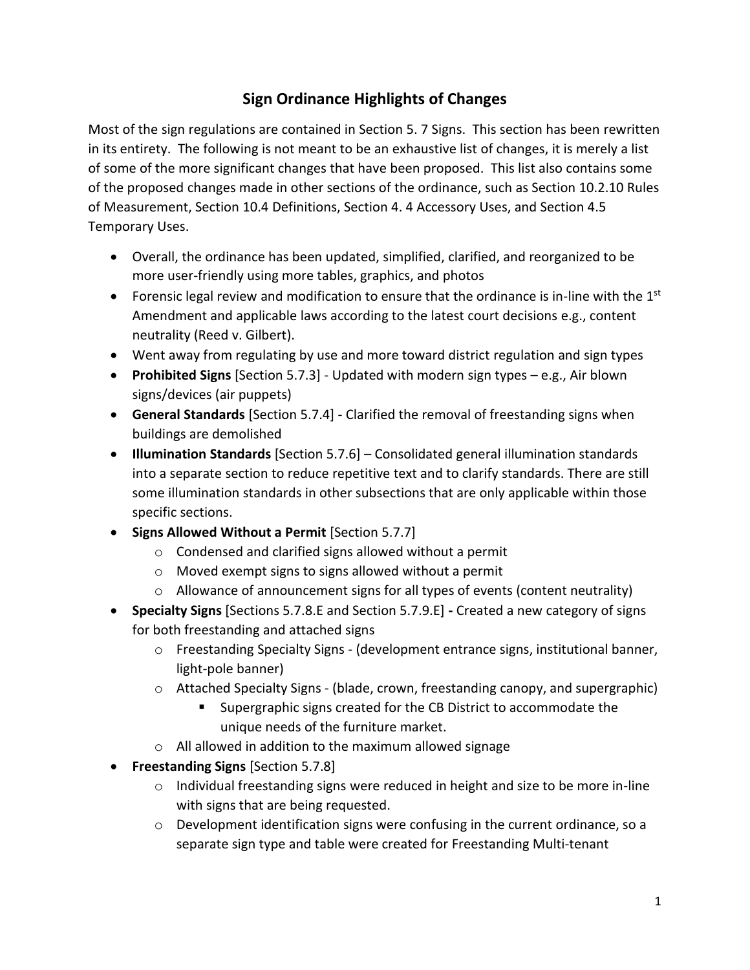## **Sign Ordinance Highlights of Changes**

Most of the sign regulations are contained in Section 5. 7 Signs. This section has been rewritten in its entirety. The following is not meant to be an exhaustive list of changes, it is merely a list of some of the more significant changes that have been proposed. This list also contains some of the proposed changes made in other sections of the ordinance, such as Section 10.2.10 Rules of Measurement, Section 10.4 Definitions, Section 4. 4 Accessory Uses, and Section 4.5 Temporary Uses.

- Overall, the ordinance has been updated, simplified, clarified, and reorganized to be more user-friendly using more tables, graphics, and photos
- Forensic legal review and modification to ensure that the ordinance is in-line with the  $1<sup>st</sup>$ Amendment and applicable laws according to the latest court decisions e.g., content neutrality (Reed v. Gilbert).
- Went away from regulating by use and more toward district regulation and sign types
- **Prohibited Signs** [Section 5.7.3] Updated with modern sign types e.g., Air blown signs/devices (air puppets)
- **General Standards** [Section 5.7.4] Clarified the removal of freestanding signs when buildings are demolished
- **Illumination Standards** [Section 5.7.6] Consolidated general illumination standards into a separate section to reduce repetitive text and to clarify standards. There are still some illumination standards in other subsections that are only applicable within those specific sections.
- **Signs Allowed Without a Permit** [Section 5.7.7]
	- o Condensed and clarified signs allowed without a permit
	- o Moved exempt signs to signs allowed without a permit
	- $\circ$  Allowance of announcement signs for all types of events (content neutrality)
- **Specialty Signs** [Sections 5.7.8.E and Section 5.7.9.E] **-** Created a new category of signs for both freestanding and attached signs
	- $\circ$  Freestanding Specialty Signs (development entrance signs, institutional banner, light-pole banner)
	- $\circ$  Attached Specialty Signs (blade, crown, freestanding canopy, and supergraphic)
		- Supergraphic signs created for the CB District to accommodate the unique needs of the furniture market.
	- o All allowed in addition to the maximum allowed signage
- **Freestanding Signs** [Section 5.7.8]
	- $\circ$  Individual freestanding signs were reduced in height and size to be more in-line with signs that are being requested.
	- $\circ$  Development identification signs were confusing in the current ordinance, so a separate sign type and table were created for Freestanding Multi-tenant